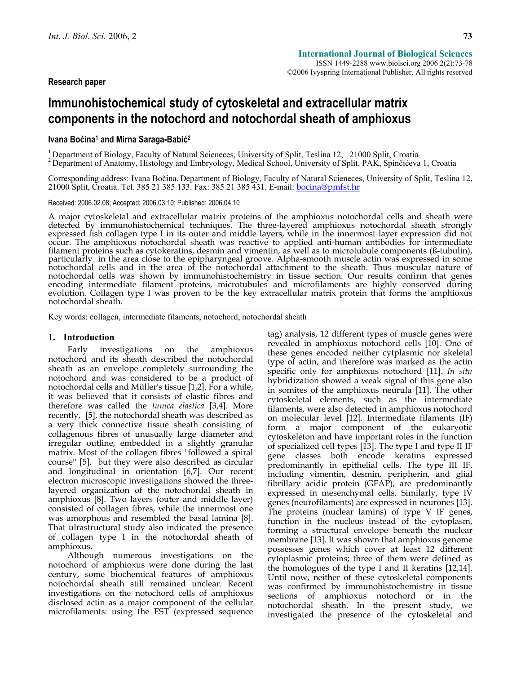# **Immunohistochemical study of cytoskeletal and extracellular matrix components in the notochord and notochordal sheath of amphioxus**

# **Ivana Bočina1 and Mirna Saraga-Babić<sup>2</sup>**

<sup>1</sup> Department of Biology, Faculty of Natural Scieneces, University of Split, Teslina 12, 21000 Split, Croatia  $2^2$  Department of Anatomy, Histology and Embryology, Medical School, University of Split, PAK, Spinčićeva 1,

Corresponding address: Ivana Bočina. Department of Biology, Faculty of Natural Scieneces, University of Split, Teslina 12, 21000 Split, Croatia. Tel. 385 21 385 133. Fax: 385 21 385 431. E-mail: **bocina@pmfst.hr** 

### Received: 2006.02.08; Accepted: 2006.03.10; Published: 2006.04.10

A major cytoskeletal and extracellular matrix proteins of the amphioxus notochordal cells and sheath were detected by immunohistochemical techniques. The three-layered amphioxus notochordal sheath strongly expressed fish collagen type I in its outer and middle layers, while in the innermost layer expression did not occur. The amphioxus notochordal sheath was reactive to applied anti-human antibodies for intermediate filament proteins such as cytokeratins, desmin and vimentin, as well as to microtubule components (ß-tubulin),<br>particularly in the area close to the epipharyngeal groove. Alpha-smooth muscle actin was expressed in some<br>not notochordal cells was shown by immunohistochemistry in tissue section. Our results confirm that genes encoding intermediate filament proteins, microtubules and microfilaments are highly conserved during evolution. Collagen notochordal sheath.

Key words: collagen, intermediate filaments, notochord, notochordal sheath

## **1. Introduction**

Early investigations on the amphioxus notochord and its sheath described the notochordal sheath as an envelope completely surrounding the notochord and was considered to be a product of notochordal cells and Müller's tissue [1,2]. For a while, it was believed that it consists of elastic fibres and therefore was called the *tunica elastica* [3,4]. More recently, [5], the notochordal sheath was described as a very thick connective tissue sheath consisting of collagenous fibres of unusually large diameter and irregular outline, embedded in a slightly granular matrix. Most of the collagen fibres ''followed a spiral course'' [5], but they were also described as circular and longitudinal in orientation [6,7]. Our recent electron microscopic investigations showed the threelayered organization of the notochordal sheath in amphioxus [8]. Two layers (outer and middle layer) consisted of collagen fibres, while the innermost one was amorphous and resembled the basal lamina [8]. That ulrastructural study also indicated the presence of collagen type I in the notochordal sheath of amphioxus.

Although numerous investigations on the notochord of amphioxus were done during the last century, some biochemical features of amphioxus notochordal sheath still remained unclear. Recent investigations on the notochord cells of amphioxus disclosed actin as a major component of the cellular microfilaments: using the EST (expressed sequence

tag) analysis, 12 different types of muscle genes were revealed in amphioxus notochord cells [10]. One of these genes encoded neither cytplasmic nor skeletal type of actin, and therefore was marked as the actin specific only for amphioxus notochord [11]. *In situ* hybridization showed a weak signal of this gene also in somites of the amphioxus neurula [11]. The other cytoskeletal elements, such as the intermediate filaments, were also detected in amphioxus notochord on molecular level [12]. Intermediate filaments (IF) form a major component of the eukaryotic cytoskeleton and have important roles in the function of specialized cell types [13]. The type I and type II IF gene classes both encode keratins expressed predominantly in epithelial cells. The type III IF, including vimentin, desmin, peripherin, and glial fibrillary acidic protein (GFAP), are predominantly expressed in mesenchymal cells. Similarly, type IV genes (neurofilaments) are expressed in neurones [13]. The proteins (nuclear lamins) of type V IF genes, function in the nucleus instead of the cytoplasm, forming a structural envelope beneath the nuclear membrane [13]. It was shown that amphioxus genome possesses genes which cover at least 12 different cytoplasmic proteins; three of them were defined as the homologues of the type I and II keratins [12,14]. Until now, neither of these cytoskeletal components was confirmed by immunohistochemistry in tissue sections of amphioxus notochord or in the notochordal sheath. In the present study, we investigated the presence of the cytoskeletal and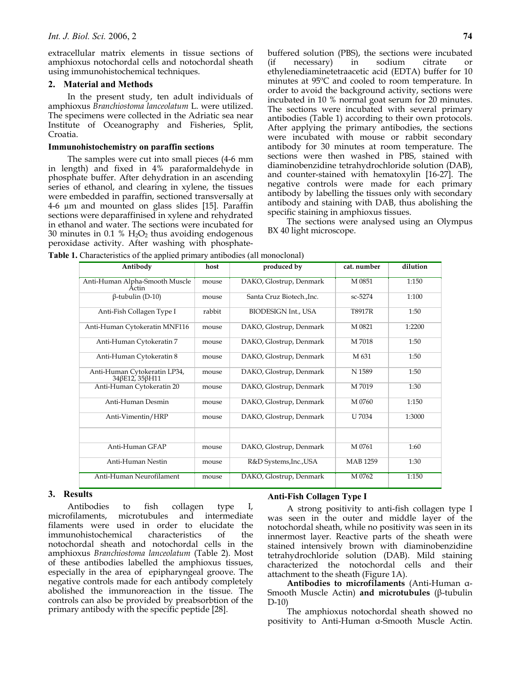extracellular matrix elements in tissue sections of amphioxus notochordal cells and notochordal sheath using immunohistochemical techniques.

### **2. Material and Methods**

In the present study, ten adult individuals of amphioxus *Branchiostoma lanceolatum* L. were utilized. The specimens were collected in the Adriatic sea near Institute of Oceanography and Fisheries, Split, Croatia.

### **Immunohistochemistry on paraffin sections**

The samples were cut into small pieces (4-6 mm in length) and fixed in 4% paraformaldehyde in phosphate buffer. After dehydration in an ascending series of ethanol, and clearing in xylene, the tissues were embedded in paraffin, sectioned transversally at 4-6 µm and mounted on glass slides [15]. Paraffin sections were deparaffinised in xylene and rehydrated in ethanol and water. The sections were incubated for 30 minutes in 0.1 %  $H_2O_2$  thus avoiding endogenous peroxidase activity. After washing with phosphatebuffered solution (PBS), the sections were incubated  $(if \n  $inecessary)$  in sodium citrate$ ethylenediaminetetraacetic acid (EDTA) buffer for 10 minutes at 95ºC and cooled to room temperature. In order to avoid the background activity, sections were incubated in 10 % normal goat serum for 20 minutes. The sections were incubated with several primary antibodies (Table 1) according to their own protocols. After applying the primary antibodies, the sections were incubated with mouse or rabbit secondary antibody for 30 minutes at room temperature. The sections were then washed in PBS, stained with diaminobenzidine tetrahydrochloride solution (DAB), and counter-stained with hematoxylin [16-27]. The negative controls were made for each primary antibody by labelling the tissues only with secondary antibody and staining with DAB, thus abolishing the specific staining in amphioxus tissues.

The sections were analysed using an Olympus BX 40 light microscope.

**Table 1.** Characteristics of the applied primary antibodies (all monoclonal)

| Antibody                                       | host   | produced by                | cat. number     | dilution |  |  |
|------------------------------------------------|--------|----------------------------|-----------------|----------|--|--|
| Anti-Human Alpha-Smooth Muscle<br>Actin        | mouse  | DAKO, Glostrup, Denmark    | M 0851          | 1:150    |  |  |
| $\beta$ -tubulin (D-10)                        | mouse  | Santa Cruz Biotech., Inc.  | sc-5274         | 1:100    |  |  |
| Anti-Fish Collagen Type I                      | rabbit | <b>BIODESIGN Int., USA</b> | <b>T8917R</b>   | 1:50     |  |  |
| Anti-Human Cytokeratin MNF116                  | mouse  | DAKO, Glostrup, Denmark    | M 0821          | 1:2200   |  |  |
| Anti-Human Cytokeratin 7                       | mouse  | DAKO, Glostrup, Denmark    | M 7018          | 1:50     |  |  |
| Anti-Human Cytokeratin 8                       | mouse  | DAKO, Glostrup, Denmark    | M 631           | 1:50     |  |  |
| Anti-Human Cytokeratin LP34,<br>34βE12, 35βH11 | mouse  | DAKO, Glostrup, Denmark    | N 1589          | 1:50     |  |  |
| Anti-Human Cytokeratin 20                      | mouse  | DAKO, Glostrup, Denmark    | M 7019          | 1:30     |  |  |
| Anti-Human Desmin                              | mouse  | DAKO, Glostrup, Denmark    | M 0760          | 1:150    |  |  |
| Anti-Vimentin/HRP                              | mouse  | DAKO, Glostrup, Denmark    | <b>U</b> 7034   | 1:3000   |  |  |
|                                                |        |                            |                 |          |  |  |
| Anti-Human GFAP                                | mouse  | DAKO, Glostrup, Denmark    | M 0761          | 1:60     |  |  |
| Anti-Human Nestin                              | mouse  | R&D Systems, Inc., USA     | <b>MAB</b> 1259 | 1:30     |  |  |
| Anti-Human Neurofilament                       | mouse  | DAKO, Glostrup, Denmark    | M 0762          | 1:150    |  |  |

# **3. Results**

Antibodies to fish collagen type I, microfilaments, microtubules and intermediate filaments were used in order to elucidate the immunohistochemical characteristics of the notochordal sheath and notochordal cells in the amphioxus *Branchiostoma lanceolatum* (Table 2). Most of these antibodies labelled the amphioxus tissues, especially in the area of epipharyngeal groove. The negative controls made for each antibody completely abolished the immunoreaction in the tissue. The controls can also be provided by preabsorbtion of the primary antibody with the specific peptide [28].

### **Anti-Fish Collagen Type I**

A strong positivity to anti-fish collagen type I was seen in the outer and middle layer of the notochordal sheath, while no positivity was seen in its innermost layer. Reactive parts of the sheath were stained intensively brown with diaminobenzidine tetrahydrochloride solution (DAB). Mild staining characterized the notochordal cells and their attachment to the sheath (Figure 1A).

**Antibodies to microfilaments** (Anti-Human α-Smooth Muscle Actin) **and microtubules** (β-tubulin D-10)

The amphioxus notochordal sheath showed no positivity to Anti-Human α-Smooth Muscle Actin.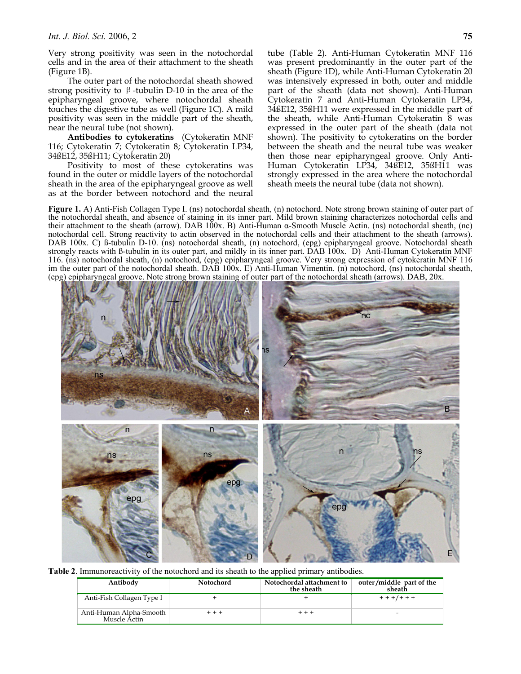Very strong positivity was seen in the notochordal cells and in the area of their attachment to the sheath (Figure 1B).

The outer part of the notochordal sheath showed strong positivity to  $\beta$ -tubulin D-10 in the area of the epipharyngeal groove, where notochordal sheath touches the digestive tube as well (Figure 1C). A mild positivity was seen in the middle part of the sheath, near the neural tube (not shown).

**Antibodies to cytokeratins** (Cytokeratin MNF 116; Cytokeratin 7; Cytokeratin 8; Cytokeratin LP34, 34ßE12, 35ßH11; Cytokeratin 20)

Positivity to most of these cytokeratins was found in the outer or middle layers of the notochordal sheath in the area of the epipharyngeal groove as well as at the border between notochord and the neural tube (Table 2). Anti-Human Cytokeratin MNF 116 was present predominantly in the outer part of the sheath (Figure 1D), while Anti-Human Cytokeratin 20 was intensively expressed in both, outer and middle part of the sheath (data not shown). Anti-Human Cytokeratin 7 and Anti-Human Cytokeratin LP34, 34ßE12, 35ßH11 were expressed in the middle part of the sheath, while Anti-Human Cytokeratin 8 was expressed in the outer part of the sheath (data not shown). The positivity to cytokeratins on the border between the sheath and the neural tube was weaker then those near epipharyngeal groove. Only Anti-Human Cytokeratin LP34, 34ßE12, 35ßH11 was strongly expressed in the area where the notochordal sheath meets the neural tube (data not shown).

**Figure 1.** A) Anti-Fish Collagen Type I. (ns) notochordal sheath, (n) notochord. Note strong brown staining of outer part of the notochordal sheath, and absence of staining in its inner part. Mild brown staining characterizes notochordal cells and their attachment to the sheath (arrow). DAB 100x. B) Anti-Human α-Smooth Muscle Actin. (ns) notochordal sheath, (nc) notochordal cell. Strong reactivity to actin observed in the notochordal cells and their attachment to the sheath (arrows). DAB 100x. C) ß-tubulin D-10. (ns) notochordal sheath, (n) notochord, (epg) epipharyngeal groove. Notochordal sheath strongly reacts with ß-tubulin in its outer part, and mildly in its inner part. DAB 100x. D) Anti-Human Cytokeratin MNF 116. (ns) notochordal sheath, (n) notochord, (epg) epipharyngeal groove. Very strong expression of cytokeratin MNF 116 im the outer part of the notochordal sheath. DAB 100x. E) Anti-Human Vimentin. (n) notochord, (ns) notochordal sheath, (epg) epipharyngeal groove. Note strong brown staining of outer part of the notochordal sheath (arrows). DAB, 20x.



**Table 2**. Immunoreactivity of the notochord and its sheath to the applied primary antibodies.

| Antibody                                | Notochord | Notochordal attachment to<br>the sheath | outer/middle part of the<br>sheath |
|-----------------------------------------|-----------|-----------------------------------------|------------------------------------|
| Anti-Fish Collagen Type I               |           |                                         | $+ + +/ + + +$                     |
| Anti-Human Alpha-Smooth<br>Muscle Actin |           |                                         | -                                  |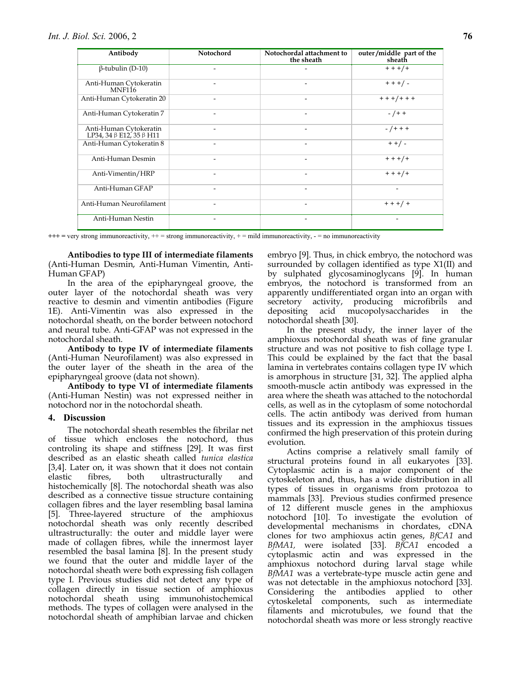| Antibody                                                       | Notochord                | Notochordal attachment to<br>the sheath | outer/middle part of the<br>sheath |
|----------------------------------------------------------------|--------------------------|-----------------------------------------|------------------------------------|
| $\beta$ -tubulin (D-10)                                        |                          |                                         | $+ + +/ +$                         |
| Anti-Human Cytokeratin<br>MNF <sub>116</sub>                   |                          |                                         | $+ + + / -$                        |
| Anti-Human Cytokeratin 20                                      |                          |                                         | $+ + +/ + + +$                     |
| Anti-Human Cytokeratin 7                                       |                          |                                         | $-$ / + +                          |
| Anti-Human Cytokeratin<br>LP34, 34 $\beta$ E12, 35 $\beta$ H11 |                          |                                         | $-$ / + + +                        |
| Anti-Human Cytokeratin 8                                       |                          | $\overline{\phantom{a}}$                | $+ + / -$                          |
| Anti-Human Desmin                                              | ۰                        |                                         | $+ + +/ +$                         |
| Anti-Vimentin/HRP                                              |                          |                                         | $+ + +/ +$                         |
| Anti-Human GFAP                                                | $\overline{\phantom{0}}$ | $\overline{\phantom{a}}$                | $\qquad \qquad \blacksquare$       |
| Anti-Human Neurofilament                                       |                          | ۰                                       | $+ + + / +$                        |
| Anti-Human Nestin                                              |                          |                                         |                                    |

**+++ =** very strong immunoreactivity, ++ = strong immunoreactivity, + = mild immunoreactivity, - = no immunoreactivity

**Antibodies to type III of intermediate filaments**  (Anti-Human Desmin, Anti-Human Vimentin, Anti-Human GFAP)

In the area of the epipharyngeal groove, the outer layer of the notochordal sheath was very reactive to desmin and vimentin antibodies (Figure 1E). Anti-Vimentin was also expressed in the notochordal sheath, on the border between notochord and neural tube. Anti-GFAP was not expressed in the notochordal sheath.

**Antibody to type IV of intermediate filaments**  (Anti-Human Neurofilament) was also expressed in the outer layer of the sheath in the area of the epipharyngeal groove (data not shown).

**Antibody to type VI of intermediate filaments** (Anti-Human Nestin) was not expressed neither in notochord nor in the notochordal sheath.

### **4. Discussion**

The notochordal sheath resembles the fibrilar net of tissue which encloses the notochord, thus controling its shape and stiffness [29]. It was first described as an elastic sheath called *tunica elastica* [3,4]. Later on, it was shown that it does not contain elastic fibres, both ultrastructurally and elastic fibres, both ultrastructurally and histochemically [8]. The notochordal sheath was also described as a connective tissue structure containing collagen fibres and the layer resembling basal lamina [5]. Three-layered structure of the amphioxus notochordal sheath was only recently described ultrastructurally: the outer and middle layer were made of collagen fibres, while the innermost layer resembled the basal lamina [8]. In the present study we found that the outer and middle layer of the notochordal sheath were both expressing fish collagen type I. Previous studies did not detect any type of collagen directly in tissue section of amphioxus notochordal sheath using immunohistochemical methods. The types of collagen were analysed in the notochordal sheath of amphibian larvae and chicken embryo [9]. Thus, in chick embryo, the notochord was surrounded by collagen identified as type X1(II) and by sulphated glycosaminoglycans [9]. In human embryos, the notochord is transformed from an apparently undifferentiated organ into an organ with secretory activity, producing microfibrils and depositing acid mucopolysaccharides in the notochordal sheath [30].

In the present study, the inner layer of the amphioxus notochordal sheath was of fine granular structure and was not positive to fish collage type I. This could be explained by the fact that the basal lamina in vertebrates contains collagen type IV which is amorphous in structure [31, 32]. The applied alpha smooth-muscle actin antibody was expressed in the area where the sheath was attached to the notochordal cells, as well as in the cytoplasm of some notochordal cells. The actin antibody was derived from human tissues and its expression in the amphioxus tissues confirmed the high preservation of this protein during evolution.

Actins comprise a relatively small family of structural proteins found in all eukaryotes [33]. Cytoplasmic actin is a major component of the cytoskeleton and, thus, has a wide distribution in all types of tissues in organisms from protozoa to mammals [33]. Previous studies confirmed presence of 12 different muscle genes in the amphioxus notochord [10]. To investigate the evolution of developmental mechanisms in chordates, cDNA clones for two amphioxus actin genes, *BfCA1* and *BfMA1,* were isolated [33]. *BfCA1* encoded a cytoplasmic actin and was expressed in the amphioxus notochord during larval stage while *BfMA1* was a vertebrate-type muscle actin gene and was not detectable in the amphioxus notochord [33]. Considering the antibodies applied to other cytoskeletal components, such as intermediate filaments and microtubules, we found that the notochordal sheath was more or less strongly reactive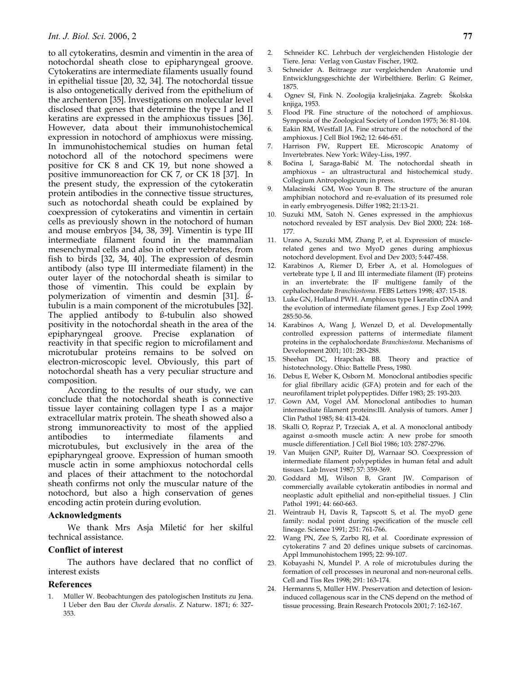to all cytokeratins, desmin and vimentin in the area of notochordal sheath close to epipharyngeal groove. Cytokeratins are intermediate filaments usually found in epithelial tissue [20, 32, 34]. The notochordal tissue is also ontogenetically derived from the epithelium of the archenteron [35]. Investigations on molecular level disclosed that genes that determine the type I and II keratins are expressed in the amphioxus tissues [36]. However, data about their immunohistochemical expression in notochord of amphioxus were missing. In immunohistochemical studies on human fetal notochord all of the notochord specimens were positive for CK 8 and CK 19, but none showed a positive immunoreaction for CK 7, or CK 18 [37]. In the present study, the expression of the cytokeratin protein antibodies in the connective tissue structures, such as notochordal sheath could be explained by coexpression of cytokeratins and vimentin in certain cells as previously shown in the notochord of human and mouse embryos [34, 38, 39]. Vimentin is type III intermediate filament found in the mammalian mesenchymal cells and also in other vertebrates, from fish to birds [32, 34, 40]. The expression of desmin antibody (also type III intermediate filament) in the outer layer of the notochordal sheath is similar to those of vimentin. This could be explain by polymerization of vimentin and desmin [31]. ßtubulin is a main component of the microtubules [32]. The applied antibody to ß-tubulin also showed positivity in the notochordal sheath in the area of the epipharyngeal groove. Precise explanation of reactivity in that specific region to microfilament and microtubular proteins remains to be solved on electron-microscopic level. Obviously, this part of notochordal sheath has a very peculiar structure and composition.

According to the results of our study, we can conclude that the notochordal sheath is connective tissue layer containing collagen type I as a major extracellular matrix protein. The sheath showed also a strong immunoreactivity to most of the applied antibodies to intermediate filaments and microtubules, but exclusively in the area of the epipharyngeal groove. Expression of human smooth muscle actin in some amphioxus notochordal cells and places of their attachment to the notochordal sheath confirms not only the muscular nature of the notochord, but also a high conservation of genes encoding actin protein during evolution.

## **Acknowledgments**

We thank Mrs Asja Miletić for her skilful technical assistance.

### **Conflict of interest**

The authors have declared that no conflict of interest exists

### **References**

1. Müller W. Beobachtungen des patologischen Instituts zu Jena. I Ueber den Bau der *Chorda dorsalis*. Z Naturw. 1871; 6: 327- 353.

- 2. Schneider KC. Lehrbuch der vergleichenden Histologie der Tiere. Jena: Verlag von Gustav Fischer, 1902.
- 3. Schneider A. Beitraege zur vergleichenden Anatomie und Entwicklungsgeschichte der Wirbelthiere. Berlin: G Reimer, 1875.
- 4. Ognev SI, Fink N. Zoologija kralješnjaka. Zagreb: Školska knjiga, 1953.
- 5. Flood PR. Fine structure of the notochord of amphioxus. Symposia of the Zoological Society of London 1975; 36: 81-104.
- 6. Eakin RM, Westfall JA. Fine structure of the notochord of the amphioxus. J Cell Biol 1962; 12: 646-651.
- 7. Harrison FW, Ruppert EE. Microscopic Anatomy of Invertebrates. New York: Wiley-Liss, 1997.
- 8. Bočina I, Saraga-Babić M. The notochordal sheath in amphioxus – an ultrastructural and histochemical study. Collegium Antropologicum; in press.
- 9. Malacinski GM, Woo Youn B. The structure of the anuran amphibian notochord and re-evaluation of its presumed role in early embryogenesis. Differ 1982; 21:13-21.
- 10. Suzuki MM, Satoh N. Genes expressed in the amphioxus notochord revealed by EST analysis. Dev Biol 2000; 224: 168- 177.
- 11. Urano A, Suzuki MM, Zhang P, et al. Expression of musclerelated genes and two MyoD genes during amphioxus notochord development. Evol and Dev 2003; 5:447-458.
- 12. Karabinos A, Riemer D, Erber A, et al. Homologues of vertebrate type I, II and III intermediate filament (IF) proteins in an invertebrate: the IF multigene family of the cephalochordate *Branchiostoma*. FEBS Letters 1998; 437: 15-18.
- 13. Luke GN, Holland PWH. Amphioxus type I keratin cDNA and the evolution of intermediate filament genes. J Exp Zool 1999; 285:50-56.
- 14. Karabinos A, Wang J, Wenzel D, et al. Developmentally controlled expression patterns of intermediate filament proteins in the cephalochordate *Branchiostoma*. Mechanisms of Development 2001; 101: 283-288.
- 15. Sheehan DC, Hrapchak BB. Theory and practice of histotechnology. Ohio: Battelle Press, 1980.
- 16. Debus E, Weber K, Osborn M. Monoclonal antibodies specific for glial fibrillary acidic (GFA) protein and for each of the neurofilament triplet polypeptides. Differ 1983; 25: 193-203.
- 17. Gown AM, Vogel AM. Monoclonal antibodies to human intermediate filament proteins:III. Analysis of tumors. Amer J Clin Pathol 1985; 84: 413-424.
- 18. Skalli O, Ropraz P, Trzeciak A, et al. A monoclonal antibody against α-smooth muscle actin: A new probe for smooth muscle differentiation. J Cell Biol 1986; 103: 2787-2796.
- 19. Van Muijen GNP, Ruiter DJ, Warnaar SO. Coexpression of intermediate filament polypeptides in human fetal and adult tissues. Lab Invest 1987; 57: 359-369.
- 20. Goddard MJ, Wilson B, Grant JW. Comparison of commercially available cytokeratin antibodies in normal and neoplastic adult epithelial and non-epithelial tissues. J Clin Pathol 1991; 44: 660-663.
- 21. Weintraub H, Davis R, Tapscott S, et al. The myoD gene family: nodal point during specification of the muscle cell lineage. Science 1991; 251: 761-766.
- 22. Wang PN, Zee S, Zarbo RJ, et al. Coordinate expression of cytokeratins 7 and 20 defines unique subsets of carcinomas. Appl Immunohistochem 1995; 22: 99-107.
- 23. Kobayashi N, Mundel P. A role of microtubules during the formation of cell processes in neuronal and non-neuronal cells. Cell and Tiss Res 1998; 291: 163-174.
- 24. Hermanns S, Müller HW. Preservation and detection of lesioninduced collagenous scar in the CNS depend on the method of tissue processing. Brain Research Protocols 2001; 7: 162-167.